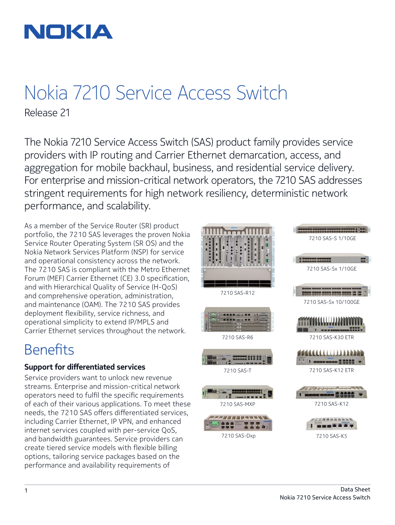

# Nokia 7210 Service Access Switch

Release 21

The Nokia 7210 Service Access Switch (SAS) product family provides service providers with IP routing and Carrier Ethernet demarcation, access, and aggregation for mobile backhaul, business, and residential service delivery. For enterprise and mission-critical network operators, the 7210 SAS addresses stringent requirements for high network resiliency, deterministic network performance, and scalability.

As a member of the Service Router (SR) product portfolio, the 7210 SAS leverages the proven Nokia Service Router Operating System (SR OS) and the Nokia Network Services Platform (NSP) for service and operational consistency across the network. The 7210 SAS is compliant with the Metro Ethernet Forum (MEF) Carrier Ethernet (CE) 3.0 specification, and with Hierarchical Quality of Service (H-QoS) and comprehensive operation, administration, and maintenance (OAM). The 7210 SAS provides deployment flexibility, service richness, and operational simplicity to extend IP/MPLS and Carrier Ethernet services throughout the network.

## **Benefits**

## **Support for differentiated services**

Service providers want to unlock new revenue streams. Enterprise and mission-critical network operators need to fulfil the specific requirements of each of their various applications. To meet these needs, the 7210 SAS offers differentiated services, including Carrier Ethernet, IP VPN, and enhanced internet services coupled with per-service QoS, and bandwidth guarantees. Service providers can create tiered service models with flexible billing options, tailoring service packages based on the performance and availability requirements of

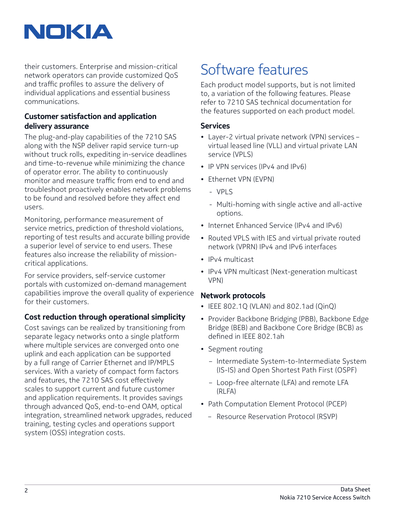

their customers. Enterprise and mission-critical network operators can provide customized QoS and traffic profiles to assure the delivery of individual applications and essential business communications.

## **Customer satisfaction and application delivery assurance**

The plug-and-play capabilities of the 7210 SAS along with the NSP deliver rapid service turn-up without truck rolls, expediting in-service deadlines and time-to-revenue while minimizing the chance of operator error. The ability to continuously monitor and measure traffic from end to end and troubleshoot proactively enables network problems to be found and resolved before they affect end users.

Monitoring, performance measurement of service metrics, prediction of threshold violations, reporting of test results and accurate billing provide a superior level of service to end users. These features also increase the reliability of missioncritical applications.

For service providers, self-service customer portals with customized on-demand management capabilities improve the overall quality of experience for their customers.

## **Cost reduction through operational simplicity**

Cost savings can be realized by transitioning from separate legacy networks onto a single platform where multiple services are converged onto one uplink and each application can be supported by a full range of Carrier Ethernet and IP/MPLS services. With a variety of compact form factors and features, the 7210 SAS cost effectively scales to support current and future customer and application requirements. It provides savings through advanced QoS, end-to-end OAM, optical integration, streamlined network upgrades, reduced training, testing cycles and operations support system (OSS) integration costs.

## Software features

Each product model supports, but is not limited to, a variation of the following features. Please refer to 7210 SAS technical documentation for the features supported on each product model.

## **Services**

- Layer-2 virtual private network (VPN) services virtual leased line (VLL) and virtual private LAN service (VPLS)
- IP VPN services (IPv4 and IPv6)
- Ethernet VPN (EVPN)
	- VPLS
	- Multi-homing with single active and all-active options.
- Internet Enhanced Service (IPv4 and IPv6)
- Routed VPLS with IES and virtual private routed network (VPRN) IPv4 and IPv6 interfaces
- IPv4 multicast
- IPv4 VPN multicast (Next-generation multicast VPN)

### **Network protocols**

- IEEE 802.1Q (VLAN) and 802.1ad (QinQ)
- Provider Backbone Bridging (PBB), Backbone Edge Bridge (BEB) and Backbone Core Bridge (BCB) as defined in IEEE 802.1ah
- Segment routing
	- Intermediate System-to-Intermediate System (IS-IS) and Open Shortest Path First (OSPF)
	- Loop-free alternate (LFA) and remote LFA (RLFA)
- Path Computation Element Protocol (PCEP)
	- Resource Reservation Protocol (RSVP)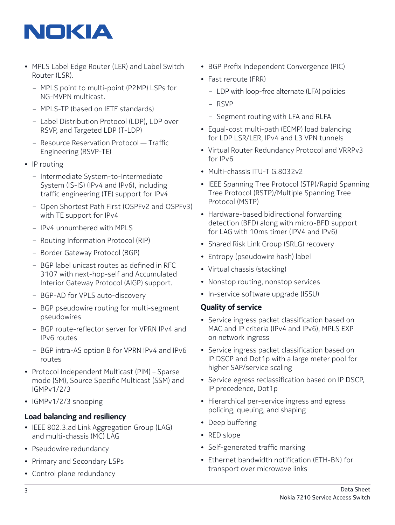

- MPLS Label Edge Router (LER) and Label Switch Router (LSR).
	- MPLS point to multi-point (P2MP) LSPs for NG-MVPN multicast.
	- MPLS-TP (based on IETF standards)
	- Label Distribution Protocol (LDP), LDP over RSVP, and Targeted LDP (T-LDP)
	- Resource Reservation Protocol Traffic Engineering (RSVP-TE)
- IP routing
	- Intermediate System-to-Intermediate System (IS-IS) (IPv4 and IPv6), including traffic engineering (TE) support for IPv4
	- Open Shortest Path First (OSPFv2 and OSPFv3) with TE support for IPv4
	- IPv4 unnumbered with MPLS
	- Routing Information Protocol (RIP)
	- Border Gateway Protocol (BGP)
	- BGP label unicast routes as defined in RFC 3107 with next-hop-self and Accumulated Interior Gateway Protocol (AIGP) support.
	- BGP-AD for VPLS auto-discovery
	- BGP pseudowire routing for multi-segment pseudowires
	- BGP route-reflector server for VPRN IPv4 and IPv6 routes
	- BGP intra-AS option B for VPRN IPv4 and IPv6 routes
- Protocol Independent Multicast (PIM) Sparse mode (SM), Source Specific Multicast (SSM) and IGMPv1/2/3
- IGMPv1/2/3 snooping

### **Load balancing and resiliency**

- IEEE 802.3.ad Link Aggregation Group (LAG) and multi-chassis (MC) LAG
- Pseudowire redundancy
- Primary and Secondary LSPs
- Control plane redundancy
- BGP Prefix Independent Convergence (PIC)
- Fast reroute (FRR)
	- LDP with loop-free alternate (LFA) policies
	- RSVP
	- Segment routing with LFA and RLFA
- Equal-cost multi-path (ECMP) load balancing for LDP LSR/LER, IPv4 and L3 VPN tunnels
- Virtual Router Redundancy Protocol and VRRPv3 for IPv6
- Multi-chassis ITU-T G.8032v2
- IEEE Spanning Tree Protocol (STP)/Rapid Spanning Tree Protocol (RSTP)/Multiple Spanning Tree Protocol (MSTP)
- Hardware-based bidirectional forwarding detection (BFD) along with micro-BFD support for LAG with 10ms timer (IPV4 and IPv6)
- Shared Risk Link Group (SRLG) recovery
- Entropy (pseudowire hash) label
- Virtual chassis (stacking)
- Nonstop routing, nonstop services
- In-service software upgrade (ISSU)

#### **Quality of service**

- Service ingress packet classification based on MAC and IP criteria (IPv4 and IPv6), MPLS EXP on network ingress
- Service ingress packet classification based on IP DSCP and Dot1p with a large meter pool for higher SAP/service scaling
- Service egress reclassification based on IP DSCP, IP precedence, Dot1p
- Hierarchical per-service ingress and egress policing, queuing, and shaping
- Deep buffering
- RED slope
- Self-generated traffic marking
- Ethernet bandwidth notification (ETH-BN) for transport over microwave links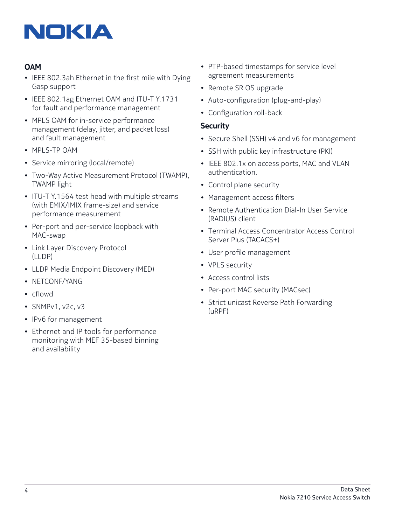

## **OAM**

- IEEE 802.3ah Ethernet in the first mile with Dying Gasp support
- IEEE 802.1ag Ethernet OAM and ITU-T Y.1731 for fault and performance management
- MPLS OAM for in-service performance management (delay, jitter, and packet loss) and fault management
- MPLS-TP OAM
- Service mirroring (local/remote)
- Two-Way Active Measurement Protocol (TWAMP), TWAMP light
- ITU-T Y.1564 test head with multiple streams (with EMIX/IMIX frame-size) and service performance measurement
- Per-port and per-service loopback with MAC-swap
- Link Layer Discovery Protocol (LLDP)
- LLDP Media Endpoint Discovery (MED)
- NETCONF/YANG
- cflowd
- SNMPv1, v2c, v3
- IPv6 for management
- Ethernet and IP tools for performance monitoring with MEF 35-based binning and availability
- PTP-based timestamps for service level agreement measurements
- Remote SR OS upgrade
- Auto-configuration (plug-and-play)
- Configuration roll-back

#### **Security**

- Secure Shell (SSH) v4 and v6 for management
- SSH with public key infrastructure (PKI)
- IEEE 802.1x on access ports, MAC and VLAN authentication.
- Control plane security
- Management access filters
- Remote Authentication Dial-In User Service (RADIUS) client
- Terminal Access Concentrator Access Control Server Plus (TACACS+)
- User profile management
- VPLS security
- Access control lists
- Per-port MAC security (MACsec)
- Strict unicast Reverse Path Forwarding (uRPF)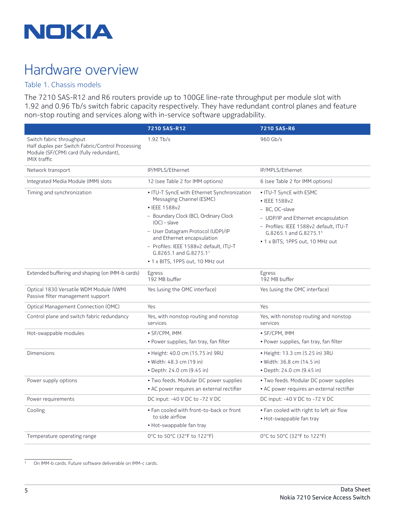

## Hardware overview

## Table 1. Chassis models

The 7210 SAS-R12 and R6 routers provide up to 100GE line-rate throughput per module slot with 1.92 and 0.96 Tb/s switch fabric capacity respectively. They have redundant control planes and feature non-stop routing and services along with in-service software upgradability.

|                                                                                                                                                | 7210 SAS-R12                                                                                                                                                                                                                                                                                                                   | 7210 SAS-R6                                                                                                                                                                                               |
|------------------------------------------------------------------------------------------------------------------------------------------------|--------------------------------------------------------------------------------------------------------------------------------------------------------------------------------------------------------------------------------------------------------------------------------------------------------------------------------|-----------------------------------------------------------------------------------------------------------------------------------------------------------------------------------------------------------|
| Switch fabric throughput<br>Half duplex per Switch Fabric/Control Processing<br>Module (SF/CPM) card (fully redundant),<br><b>IMIX traffic</b> | $1.92$ Tb/s                                                                                                                                                                                                                                                                                                                    | 960 Gb/s                                                                                                                                                                                                  |
| Network transport                                                                                                                              | IP/MPLS/Ethernet                                                                                                                                                                                                                                                                                                               | IP/MPLS/Ethernet                                                                                                                                                                                          |
| Integrated Media Module (IMM) slots                                                                                                            | 12 (see Table 2 for IMM options)                                                                                                                                                                                                                                                                                               | 6 (see Table 2 for IMM options)                                                                                                                                                                           |
| Timing and synchronization                                                                                                                     | • ITU-T SyncE with Ethernet Synchronization<br>Messaging Channel (ESMC)<br>• IEEE 1588v2<br>- Boundary Clock (BC), Ordinary Clock<br>$(OC) - slave$<br>- User Datagram Protocol (UDP)/IP<br>and Ethernet encapsulation<br>- Profiles: IEEE 1588v2 default, ITU-T<br>G.8265.1 and G.8275.11<br>• 1 x BITS, 1PPS out, 10 MHz out | • ITU-T SyncE with ESMC<br>• IEEE 1588v2<br>- BC, OC-slave<br>- UDP/IP and Ethernet encapsulation<br>- Profiles: IEEE 1588v2 default, ITU-T<br>G.8265.1 and G.8275.11<br>• 1 x BITS; 1PPS out, 10 MHz out |
| Extended buffering and shaping (on IMM-b cards)                                                                                                | Egress<br>192 MB buffer                                                                                                                                                                                                                                                                                                        | Egress<br>192 MB buffer                                                                                                                                                                                   |
| Optical 1830 Versatile WDM Module (VWM)<br>Passive filter management support                                                                   | Yes (using the OMC interface)                                                                                                                                                                                                                                                                                                  | Yes (using the OMC interface)                                                                                                                                                                             |
| Optical Management Connection (OMC)                                                                                                            | Yes                                                                                                                                                                                                                                                                                                                            | Yes                                                                                                                                                                                                       |
| Control plane and switch fabric redundancy                                                                                                     | Yes, with nonstop routing and nonstop<br>services                                                                                                                                                                                                                                                                              | Yes, with nonstop routing and nonstop<br>services                                                                                                                                                         |
| Hot-swappable modules                                                                                                                          | • SF/CPM, IMM<br>· Power supplies, fan tray, fan filter                                                                                                                                                                                                                                                                        | • SF/CPM, IMM<br>· Power supplies, fan tray, fan filter                                                                                                                                                   |
| Dimensions                                                                                                                                     | • Height: 40.0 cm (15.75 in) 9RU<br>• Width: 48.3 cm (19 in)<br>• Depth: 24.0 cm (9.45 in)                                                                                                                                                                                                                                     | • Height: 13.3 cm (5.25 in) 3RU<br>• Width: 36.8 cm (14.5 in)<br>• Depth: 24.0 cm (9.45 in)                                                                                                               |
| Power supply options                                                                                                                           | • Two feeds. Modular DC power supplies<br>• AC power requires an external rectifier                                                                                                                                                                                                                                            | . Two feeds. Modular DC power supplies<br>• AC power requires an external rectifier                                                                                                                       |
| Power requirements                                                                                                                             | DC input: -40 V DC to -72 V DC                                                                                                                                                                                                                                                                                                 | DC input: -40 V DC to -72 V DC                                                                                                                                                                            |
| Cooling                                                                                                                                        | . Fan cooled with front-to-back or front<br>to side airflow<br>• Hot-swappable fan tray                                                                                                                                                                                                                                        | • Fan cooled with right to left air flow<br>• Hot-swappable fan tray                                                                                                                                      |
| Temperature operating range                                                                                                                    | 0°C to 50°C (32°F to 122°F)                                                                                                                                                                                                                                                                                                    | 0°C to 50°C (32°F to 122°F)                                                                                                                                                                               |

1 On IMM-b cards. Future software deliverable on IMM-c cards.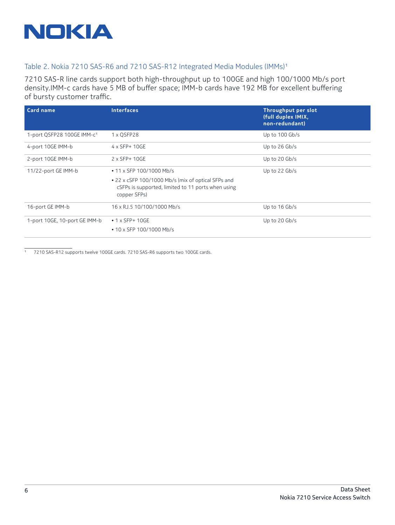

#### Table 2. Nokia 7210 SAS-R6 and 7210 SAS-R12 Integrated Media Modules (IMMs)1

7210 SAS-R line cards support both high-throughput up to 100GE and high 100/1000 Mb/s port density.IMM-c cards have 5 MB of buffer space; IMM-b cards have 192 MB for excellent buffering of bursty customer traffic.

| <b>Card name</b>                       | <b>Interfaces</b>                                                                                                        | <b>Throughput per slot</b><br>(full duplex IMIX,<br>non-redundant) |
|----------------------------------------|--------------------------------------------------------------------------------------------------------------------------|--------------------------------------------------------------------|
| 1-port QSFP28 100GE IMM-c <sup>1</sup> | 1 x QSFP28                                                                                                               | Up to 100 Gb/s                                                     |
| 4-port 10GE IMM-b                      | 4 x SFP+ 10GE                                                                                                            | Up to $26$ Gb/s                                                    |
| 2-port 10GE IMM-b                      | 2 x SFP+ 10GE                                                                                                            | Up to 20 Gb/s                                                      |
| 11/22-port GE IMM-b                    | • 11 x SFP 100/1000 Mb/s                                                                                                 | Up to 22 Gb/s                                                      |
|                                        | • 22 x cSFP 100/1000 Mb/s (mix of optical SFPs and<br>cSFPs is supported, limited to 11 ports when using<br>copper SFPs) |                                                                    |
| 16-port GE IMM-b                       | 16 x RJ.5 10/100/1000 Mb/s                                                                                               | Up to 16 Gb/s                                                      |
| 1-port 10GE, 10-port GE IMM-b          | $\cdot$ 1 x SFP+ 10GE                                                                                                    | Up to 20 Gb/s                                                      |
|                                        | • 10 x SFP 100/1000 Mb/s                                                                                                 |                                                                    |

1 7210 SAS-R12 supports twelve 100GE cards. 7210 SAS-R6 supports two 100GE cards.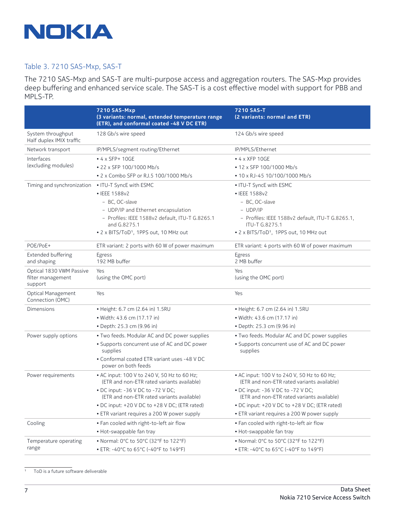

#### Table 3. 7210 SAS-Mxp, SAS-T

The 7210 SAS-Mxp and SAS-T are multi-purpose access and aggregation routers. The SAS-Mxp provides deep buffering and enhanced service scale. The SAS-T is a cost effective model with support for PBB and MPLS-TP.

|                                                          | <b>7210 SAS-Mxp</b><br>(3 variants: normal, extended temperature range<br>(ETR), and conformal coated -48 V DC ETR) | 7210 SAS-T<br>(2 variants: normal and ETR)                                                |
|----------------------------------------------------------|---------------------------------------------------------------------------------------------------------------------|-------------------------------------------------------------------------------------------|
| System throughput<br>Half duplex IMIX traffic            | 128 Gb/s wire speed                                                                                                 | 124 Gb/s wire speed                                                                       |
| Network transport                                        | IP/MPLS/segment routing/Ethernet                                                                                    | IP/MPLS/Ethernet                                                                          |
| Interfaces                                               | $\bullet$ 4 x SFP+ 10GE                                                                                             | $\bullet$ 4 x XFP 10GE                                                                    |
| (excluding modules)                                      | • 22 x SFP 100/1000 Mb/s                                                                                            | • 12 x SFP 100/1000 Mb/s                                                                  |
|                                                          | • 2 x Combo SFP or RJ.5 100/1000 Mb/s                                                                               | • 10 x RJ-45 10/100/1000 Mb/s                                                             |
| Timing and synchronization                               | • ITU-T SyncE with ESMC                                                                                             | • ITU-T SyncE with ESMC                                                                   |
|                                                          | • IEEE 1588v2                                                                                                       | • IEEE 1588v2                                                                             |
|                                                          | - BC, OC-slave                                                                                                      | - BC, OC-slave                                                                            |
|                                                          | - UDP/IP and Ethernet encapsulation                                                                                 | $-$ UDP/IP                                                                                |
|                                                          | - Profiles: IEEE 1588v2 default, ITU-T G.8265.1<br>and G.8275.1                                                     | - Profiles: IEEE 1588v2 default, ITU-T G.8265.1,<br>ITU-T G.8275.1                        |
|                                                          | • 2 x BITS/ToD <sup>1</sup> , 1PPS out, 10 MHz out                                                                  | • 2 x BITS/ToD <sup>1</sup> , 1PPS out, 10 MHz out                                        |
| POE/PoE+                                                 | ETR variant: 2 ports with 60 W of power maximum                                                                     | ETR variant: 4 ports with 60 W of power maximum                                           |
| <b>Extended buffering</b>                                | Egress                                                                                                              | Egress                                                                                    |
| and shaping                                              | 192 MB buffer                                                                                                       | 2 MB buffer                                                                               |
| Optical 1830 VWM Passive<br>filter management<br>support | Yes<br>(using the OMC port)                                                                                         | Yes<br>(using the OMC port)                                                               |
| Optical Management<br>Connection (OMC)                   | Yes                                                                                                                 | Yes                                                                                       |
| Dimensions                                               | • Height: 6.7 cm (2.64 in) 1.5RU                                                                                    | • Height: 6.7 cm (2.64 in) 1.5RU                                                          |
|                                                          | · Width: 43.6 cm (17.17 in)                                                                                         | · Width: 43.6 cm (17.17 in)                                                               |
|                                                          | • Depth: 25.3 cm (9.96 in)                                                                                          | • Depth: 25.3 cm (9.96 in)                                                                |
| Power supply options                                     | . Two feeds. Modular AC and DC power supplies                                                                       | . Two feeds. Modular AC and DC power supplies                                             |
|                                                          | • Supports concurrent use of AC and DC power<br>supplies                                                            | • Supports concurrent use of AC and DC power<br>supplies                                  |
|                                                          | • Conformal coated ETR variant uses -48 V DC<br>power on both feeds                                                 |                                                                                           |
| Power requirements                                       | • AC input: 100 V to 240 V, 50 Hz to 60 Hz;<br>(ETR and non-ETR rated variants available)                           | • AC input: 100 V to 240 V, 50 Hz to 60 Hz;<br>(ETR and non-ETR rated variants available) |
|                                                          | • DC input: -36 V DC to -72 V DC;<br>(ETR and non-ETR rated variants available)                                     | • DC input: -36 V DC to -72 V DC;<br>(ETR and non-ETR rated variants available)           |
|                                                          | • DC input: +20 V DC to +28 V DC; (ETR rated)                                                                       | • DC input: +20 V DC to +28 V DC; (ETR rated)                                             |
|                                                          | • ETR variant requires a 200 W power supply                                                                         | • ETR variant requires a 200 W power supply                                               |
| Cooling                                                  | • Fan cooled with right-to-left air flow                                                                            | . Fan cooled with right-to-left air flow                                                  |
|                                                          | · Hot-swappable fan tray                                                                                            | • Hot-swappable fan tray                                                                  |
| Temperature operating                                    | • Normal: 0°C to 50°C (32°F to 122°F)                                                                               | • Normal: 0°C to 50°C (32°F to 122°F)                                                     |
| range                                                    | • ETR: -40°C to 65°C (-40°F to 149°F)                                                                               | • ETR: -40°C to 65°C (-40°F to 149°F)                                                     |

1 ToD is a future software deliverable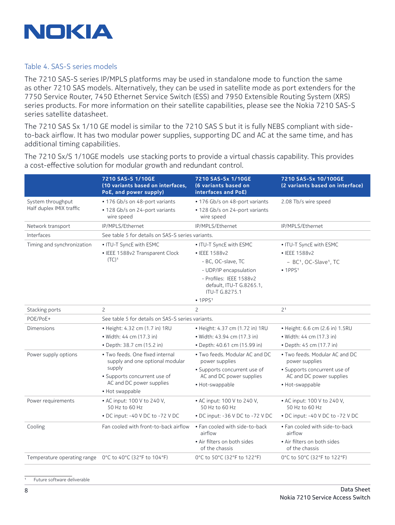

#### Table 4. SAS-S series models

The 7210 SAS-S series IP/MPLS platforms may be used in standalone mode to function the same as other 7210 SAS models. Alternatively, they can be used in satellite mode as port extenders for the 7750 Service Router, 7450 Ethernet Service Switch (ESS) and 7950 Extensible Routing System (XRS) series products. For more information on their satellite capabilities, please see the Nokia 7210 SAS-S series satellite datasheet.

The 7210 SAS Sx 1/10 GE model is similar to the 7210 SAS S but it is fully NEBS compliant with sideto-back airflow. It has two modular power supplies, supporting DC and AC at the same time, and has additional timing capabilities.

The 7210 Sx/S 1/10GE models use stacking ports to provide a virtual chassis capability. This provides a cost-effective solution for modular growth and redundant control.

|                                                          | 7210 SAS-S 1/10GE<br>(10 variants based on interfaces,<br>PoE, and power supply)                                                         | 7210 SAS-Sx 1/10GE<br>(6 variants based on<br>interfaces and PoE)     | 7210 SAS-Sx 10/100GE<br>(2 variants based on interface)  |
|----------------------------------------------------------|------------------------------------------------------------------------------------------------------------------------------------------|-----------------------------------------------------------------------|----------------------------------------------------------|
| System throughput<br>Half duplex IMIX traffic            | • 176 Gb/s on 48-port variants                                                                                                           | • 176 Gb/s on 48-port variants                                        | 2.08 Tb/s wire speed                                     |
|                                                          | • 128 Gb/s on 24-port variants<br>wire speed                                                                                             | • 128 Gb/s on 24-port variants<br>wire speed                          |                                                          |
| Network transport                                        | IP/MPLS/Ethernet                                                                                                                         | IP/MPLS/Ethernet                                                      | IP/MPLS/Ethernet                                         |
| Interfaces                                               | See table 5 for details on SAS-S series variants.                                                                                        |                                                                       |                                                          |
| Timing and synchronization                               | • ITU-T SyncE with ESMC                                                                                                                  | • ITU-T SyncE with ESMC                                               | • ITU-T SyncE with ESMC                                  |
|                                                          | • IEEE 1588v2 Transparent Clock<br>$(TC)^1$                                                                                              | • IEEE 1588v2                                                         | • IEEE 1588v2                                            |
|                                                          |                                                                                                                                          | - BC, OC-slave, TC                                                    | - BC <sup>1</sup> , OC-Slave <sup>1</sup> , TC           |
|                                                          |                                                                                                                                          | - UDP/IP encapsulation                                                | • 1PPS <sup>1</sup>                                      |
|                                                          |                                                                                                                                          | - Profiles: IEEE 1588v2<br>default, ITU-T G.8265.1,<br>ITU-T G.8275.1 |                                                          |
|                                                          |                                                                                                                                          | • 1PPS <sup>1</sup>                                                   |                                                          |
| Stacking ports                                           | $\overline{c}$                                                                                                                           | 2                                                                     | 2 <sup>1</sup>                                           |
| POE/PoE+                                                 | See table 5 for details on SAS-S series variants.                                                                                        |                                                                       |                                                          |
| Dimensions                                               | • Height: 4.32 cm (1.7 in) 1RU                                                                                                           | • Height: 4.37 cm (1.72 in) 1RU                                       | • Height: 6.6 cm (2.6 in) 1.5RU                          |
|                                                          | • Width: 44 cm (17.3 in)                                                                                                                 | · Width: 43.94 cm (17.3 in)                                           | • Width: 44 cm (17.3 in)                                 |
|                                                          | • Depth: 38.7 cm (15.2 in)                                                                                                               | • Depth: 40.61 cm (15.99 in)                                          | • Depth: 45 cm (17.7 in)                                 |
| Power supply options                                     | · Two feeds. One fixed internal<br>supply and one optional modular<br>supply<br>• Supports concurrent use of<br>AC and DC power supplies | . Two feeds. Modular AC and DC<br>power supplies                      | . Two feeds. Modular AC and DC<br>power supplies         |
|                                                          |                                                                                                                                          | • Supports concurrent use of<br>AC and DC power supplies              | • Supports concurrent use of<br>AC and DC power supplies |
|                                                          |                                                                                                                                          | · Hot-swappable                                                       | · Hot-swappable                                          |
|                                                          | • Hot swappable                                                                                                                          |                                                                       |                                                          |
| Power requirements                                       | • AC input: 100 V to 240 V.<br>50 Hz to 60 Hz                                                                                            | • AC input: 100 V to 240 V.<br>50 Hz to 60 Hz                         | • AC input: 100 V to 240 V.<br>50 Hz to 60 Hz            |
|                                                          | • DC input: -40 V DC to -72 V DC                                                                                                         | • DC input: -36 V DC to -72 V DC                                      | • DC input: -40 V DC to -72 V DC                         |
| Cooling                                                  | Fan cooled with front-to-back airflow                                                                                                    | . Fan cooled with side-to-back<br>airflow                             | . Fan cooled with side-to-back<br>airflow                |
|                                                          |                                                                                                                                          | · Air filters on both sides<br>of the chassis                         | · Air filters on both sides<br>of the chassis            |
| Temperature operating range  O°C to 40°C (32°F to 104°F) |                                                                                                                                          | 0°C to 50°C (32°F to 122°F)                                           | 0°C to 50°C (32°F to 122°F)                              |

Future software deliverable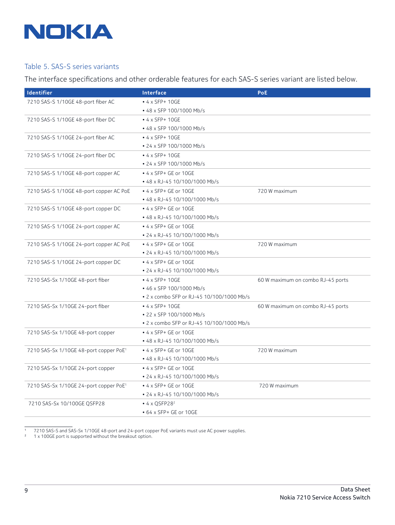

#### Table 5. SAS-S series variants

The interface specifications and other orderable features for each SAS-S series variant are listed below.

| Identifier                                         | Interface                                 | <b>PoE</b>                        |
|----------------------------------------------------|-------------------------------------------|-----------------------------------|
| 7210 SAS-S 1/10GE 48-port fiber AC                 | $\bullet$ 4 x SFP+ 10GE                   |                                   |
|                                                    | • 48 x SFP 100/1000 Mb/s                  |                                   |
| 7210 SAS-S 1/10GE 48-port fiber DC                 | $\cdot$ 4 x SFP+ 10GE                     |                                   |
|                                                    | • 48 x SFP 100/1000 Mb/s                  |                                   |
| 7210 SAS-S 1/10GE 24-port fiber AC                 | $\cdot$ 4 x SFP+ 10GE                     |                                   |
|                                                    | • 24 x SFP 100/1000 Mb/s                  |                                   |
| 7210 SAS-S 1/10GE 24-port fiber DC                 | $\cdot$ 4 x SFP+ 10GE                     |                                   |
|                                                    | • 24 x SFP 100/1000 Mb/s                  |                                   |
| 7210 SAS-S 1/10GE 48-port copper AC                | • 4 x SFP+ GE or 10GE                     |                                   |
|                                                    | • 48 x RJ-45 10/100/1000 Mb/s             |                                   |
| 7210 SAS-S 1/10GE 48-port copper AC PoE            | • 4 x SFP+ GE or 10GE                     | 720 W maximum                     |
|                                                    | • 48 x RJ-45 10/100/1000 Mb/s             |                                   |
| 7210 SAS-S 1/10GE 48-port copper DC                | • 4 x SFP+ GE or 10GE                     |                                   |
|                                                    | • 48 x RJ-45 10/100/1000 Mb/s             |                                   |
| 7210 SAS-S 1/10GE 24-port copper AC                | • 4 x SFP+ GE or 10GE                     |                                   |
|                                                    | • 24 x RJ-45 10/100/1000 Mb/s             |                                   |
| 7210 SAS-S 1/10GE 24-port copper AC PoE            | • 4 x SFP+ GE or 10GE                     | 720 W maximum                     |
|                                                    | • 24 x RJ-45 10/100/1000 Mb/s             |                                   |
| 7210 SAS-S 1/10GE 24-port copper DC                | • 4 x SFP+ GE or 10GE                     |                                   |
|                                                    | • 24 x RJ-45 10/100/1000 Mb/s             |                                   |
| 7210 SAS-Sx 1/10GE 48-port fiber                   | $\cdot$ 4 x SFP+ 10GE                     | 60 W maximum on combo RJ-45 ports |
|                                                    | • 46 x SFP 100/1000 Mb/s                  |                                   |
|                                                    | • 2 x combo SFP or RJ-45 10/100/1000 Mb/s |                                   |
| 7210 SAS-Sx 1/10GE 24-port fiber                   | $\bullet$ 4 x SFP+ 10GE                   | 60 W maximum on combo RJ-45 ports |
|                                                    | • 22 x SFP 100/1000 Mb/s                  |                                   |
|                                                    | • 2 x combo SFP or RJ-45 10/100/1000 Mb/s |                                   |
| 7210 SAS-Sx 1/10GE 48-port copper                  | • 4 x SFP+ GE or 10GE                     |                                   |
|                                                    | • 48 x RJ-45 10/100/1000 Mb/s             |                                   |
| 7210 SAS-Sx 1/10GE 48-port copper PoE <sup>1</sup> | • 4 x SFP+ GE or 10GE                     | 720 W maximum                     |
|                                                    | • 48 x RJ-45 10/100/1000 Mb/s             |                                   |
| 7210 SAS-Sx 1/10GE 24-port copper                  | • 4 x SFP+ GE or 10GE                     |                                   |
|                                                    | • 24 x RJ-45 10/100/1000 Mb/s             |                                   |
| 7210 SAS-Sx 1/10GE 24-port copper PoE <sup>1</sup> | • 4 x SFP+ GE or 10GE                     | 720 W maximum                     |
|                                                    | • 24 x RJ-45 10/100/1000 Mb/s             |                                   |
| 7210 SAS-Sx 10/100GE QSFP28                        | $\bullet$ 4 x QSFP28 <sup>2</sup>         |                                   |
|                                                    | • 64 x SFP+ GE or 10GE                    |                                   |

1 7210 SAS-S and SAS-Sx 1/10GE 48-port and 24-port copper PoE variants must use AC power supplies.

<sup>2</sup> 1 x 100GE port is supported without the breakout option.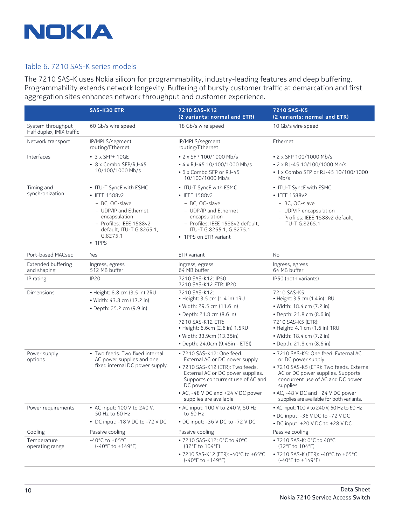

#### Table 6. 7210 SAS-K series models

The 7210 SAS-K uses Nokia silicon for programmability, industry-leading features and deep buffering. Programmability extends network longevity. Buffering of bursty customer traffic at demarcation and first aggregation sites enhances network throughput and customer experience.

|                                                | <b>SAS-K30 ETR</b>                                                                                                        | 7210 SAS-K12                                                                                                                    | 7210 SAS-K5                                                                                                                    |
|------------------------------------------------|---------------------------------------------------------------------------------------------------------------------------|---------------------------------------------------------------------------------------------------------------------------------|--------------------------------------------------------------------------------------------------------------------------------|
|                                                |                                                                                                                           | (2 variants: normal and ETR)                                                                                                    | (2 variants: normal and ETR)                                                                                                   |
| System throughput<br>Half duplex, IMIX traffic | 60 Gb/s wire speed                                                                                                        | 18 Gb/s wire speed                                                                                                              | 10 Gb/s wire speed                                                                                                             |
| Network transport                              | IP/MPLS/segment<br>routing/Ethernet                                                                                       | IP/MPLS/segment<br>routing/Ethernet                                                                                             | Ethernet                                                                                                                       |
| Interfaces                                     | $\bullet$ 3 x SFP+ 10GE                                                                                                   | • 2 x SFP 100/1000 Mb/s                                                                                                         | • 2 x SFP 100/1000 Mb/s                                                                                                        |
|                                                | • 8 x Combo SFP/RJ-45                                                                                                     | • 4 x RJ-45 10/100/1000 Mb/s                                                                                                    | • 2 x RJ-45 10/100/1000 Mb/s                                                                                                   |
|                                                | 10/100/1000 Mb/s                                                                                                          | • 6 x Combo SFP or RJ-45<br>10/100/1000 Mb/s                                                                                    | • 1 x Combo SFP or RJ-45 10/100/1000<br>Mb/s                                                                                   |
| Timing and                                     | • ITU-T SyncE with ESMC                                                                                                   | • ITU-T SyncE with ESMC                                                                                                         | • ITU-T SyncE with ESMC                                                                                                        |
| synchronization                                | • IEEE 1588v2                                                                                                             | • IEEE 1588v2                                                                                                                   | • IEEE 1588v2                                                                                                                  |
|                                                | - BC, OC-slave                                                                                                            | - BC, OC-slave                                                                                                                  | - BC, OC-slave                                                                                                                 |
|                                                | - UDP/IP and Ethernet<br>encapsulation<br>- Profiles: IEEE 1588v2<br>default, ITU-T G.8265.1,<br>G.8275.1<br>$\cdot$ 1PPS | - UDP/IP and Ethernet<br>encapsulation<br>- Profiles: IEEE 1588v2 default.<br>ITU-T G.8265.1, G.8275.1<br>• 1PPS on ETR variant | - UDP/IP encapsulation<br>- Profiles: IEEE 1588v2 default,<br>ITU-T G.8265.1                                                   |
| Port-based MACsec                              | Yes                                                                                                                       | ETR variant                                                                                                                     | <b>No</b>                                                                                                                      |
| Extended buffering<br>and shaping              | Ingress, egress<br>512 MB buffer                                                                                          | Ingress, egress<br>64 MB buffer                                                                                                 | Ingress, egress<br>64 MB buffer                                                                                                |
| IP rating                                      | IP <sub>20</sub>                                                                                                          | 7210 SAS-K12: IP50<br>7210 SAS-K12 ETR: IP20                                                                                    | IP50 (both variants)                                                                                                           |
| Dimensions                                     | • Height: 8.8 cm (3.5 in) 2RU<br>• Width: 43.8 cm (17.2 in)                                                               | 7210 SAS-K12:<br>• Height: 3.5 cm (1.4 in) 1RU                                                                                  | 7210 SAS-K5:<br>• Height: 3.5 cm (1.4 in) 1RU                                                                                  |
|                                                | • Depth: 25.2 cm (9.9 in)                                                                                                 | • Width: 29.5 cm (11.6 in)                                                                                                      | • Width: 18.4 cm (7.2 in)                                                                                                      |
|                                                |                                                                                                                           | • Depth: 21.8 cm (8.6 in)                                                                                                       | • Depth: 21.8 cm (8.6 in)                                                                                                      |
|                                                |                                                                                                                           | 7210 SAS-K12 ETR:<br>• Height: 6.6cm (2.6 in) 1.5RU                                                                             | 7210 SAS-K5 (ETR):<br>• Height: 4.1 cm (1.6 in) 1RU                                                                            |
|                                                |                                                                                                                           | • Width: 33.9cm (13.35in)                                                                                                       | • Width: 18.4 cm (7.2 in)                                                                                                      |
|                                                |                                                                                                                           | • Depth: 24.0cm (9.45in - ETSI)                                                                                                 | • Depth: 21.8 cm (8.6 in)                                                                                                      |
| Power supply<br>options                        | • Two feeds. Two fixed internal<br>AC power supplies and one<br>fixed internal DC power supply.                           | • 7210 SAS-K12: One feed.<br>External AC or DC power supply                                                                     | · 7210 SAS-K5: One feed. External AC<br>or DC power supply                                                                     |
|                                                |                                                                                                                           | • 7210 SAS-K12 (ETR): Two feeds.<br>External AC or DC power supplies.<br>Supports concurrent use of AC and<br>DC power          | · 7210 SAS-K5 (ETR): Two feeds. External<br>AC or DC power supplies. Supports<br>concurrent use of AC and DC power<br>supplies |
|                                                |                                                                                                                           | • AC, -48 V DC and +24 V DC power<br>supplies are available                                                                     | • AC, -48 V DC and +24 V DC power<br>supplies are available for both variants.                                                 |
| Power requirements                             | • AC input: 100 V to 240 V,                                                                                               | • AC input: 100 V to 240 V, 50 Hz                                                                                               | • AC input: 100 V to 240 V, 50 Hz to 60 Hz                                                                                     |
|                                                | 50 Hz to 60 Hz                                                                                                            | to 60 Hz                                                                                                                        | • DC input: -36 V DC to -72 V DC                                                                                               |
|                                                | • DC input: -18 V DC to -72 V DC                                                                                          | • DC input: -36 V DC to -72 V DC                                                                                                | • DC input: +20 V DC to +28 V DC                                                                                               |
| Cooling                                        | Passive cooling                                                                                                           | Passive cooling                                                                                                                 | Passive cooling                                                                                                                |
| Temperature<br>operating range                 | $-40^{\circ}$ C to $+65^{\circ}$ C<br>$(-40°F to +149°F)$                                                                 | • 7210 SAS-K12: 0°C to 40°C<br>$(32^{\circ}F \text{ to } 104^{\circ}F)$                                                         | • 7210 SAS-K: 0°C to 40°C<br>(32°F to 104°F)                                                                                   |
|                                                |                                                                                                                           | • 7210 SAS-K12 (ETR): -40°C to +65°C<br>$(-40^{\circ}$ F to $+149^{\circ}$ F)                                                   | • 7210 SAS-K (ETR): -40°C to +65°C<br>$(-40^{\circ}$ F to $+149^{\circ}$ F)                                                    |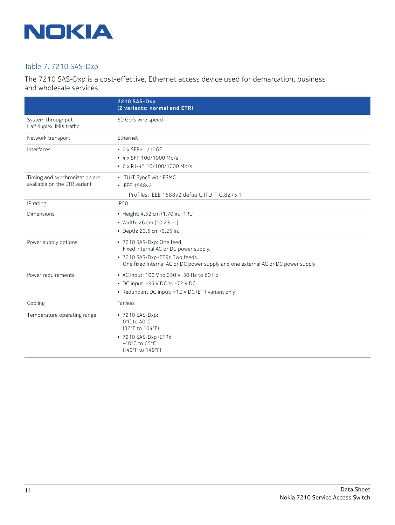

## Table 7. 7210 SAS-Dxp

The 7210 SAS-Dxp is a cost-effective, Ethernet access device used for demarcation, business and wholesale services.

|                                                | 7210 SAS-Dxp<br>(2 variants: normal and ETR)                                                                        |
|------------------------------------------------|---------------------------------------------------------------------------------------------------------------------|
| System throughput<br>Half duplex, IMIX traffic | 60 Gb/s wire speed                                                                                                  |
| Network transport                              | Ethernet                                                                                                            |
| Interfaces                                     | • $2 \times$ SFP+ 1/10GE                                                                                            |
|                                                | • 4 x SFP 100/1000 Mb/s                                                                                             |
|                                                | • 6 x RJ-45 10/100/1000 Mb/s                                                                                        |
| Timing and synchronization are                 | • ITU-T SyncE with ESMC                                                                                             |
| available on the ETR variant                   | • IEEE 1588v2                                                                                                       |
|                                                | - Profiles: IEEE 1588v2 default, ITU-T G.8275.1                                                                     |
| IP rating                                      | <b>IP50</b>                                                                                                         |
| <b>Dimensions</b>                              | • Height: 4.32 cm (1.70 in.) 1RU                                                                                    |
|                                                | • Width: 26 cm (10.23 in.)                                                                                          |
|                                                | • Depth: 23.5 cm (9.25 in.)                                                                                         |
| Power supply options                           | • 7210 SAS-Dxp: One feed.<br>Fixed internal AC or DC power supply.                                                  |
|                                                | • 7210 SAS-Dxp (ETR): Two feeds.<br>One fixed internal AC or DC power supply and one external AC or DC power supply |
| Power requirements                             | • AC input: 100 V to 250 V, 50 Hz to 60 Hz                                                                          |
|                                                | • DC input: -36 V DC to -72 V DC                                                                                    |
|                                                | • Redundant DC input: +12 V DC (ETR variant only)                                                                   |
| Cooling                                        | Fanless                                                                                                             |
| Temperature operating range                    | • 7210 SAS-Dxp:<br>0°C to 40°C<br>(32°F to 104°F)                                                                   |
|                                                | • 7210 SAS-Dxp (ETR):<br>$-40^{\circ}$ C to 65 $^{\circ}$ C<br>(-40°F to 149°F)                                     |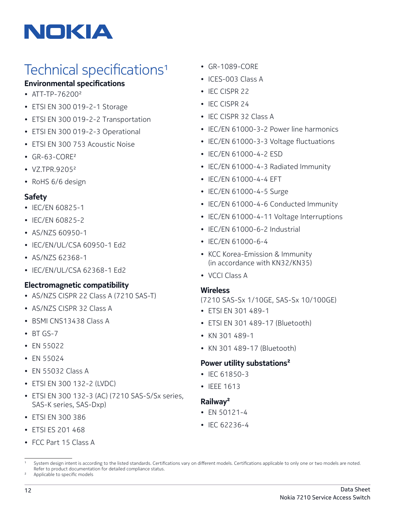

## Technical specifications<sup>1</sup>

## **Environmental specifications**

- ATT-TP-762002
- ETSI EN 300 019-2-1 Storage
- ETSI EN 300 019-2-2 Transportation
- ETSI EN 300 019-2-3 Operational
- ETSI EN 300 753 Acoustic Noise
- GR-63-CORE2
- VZ.TPR.92052
- RoHS 6/6 design

## **Safety**

- IEC/EN 60825-1
- IEC/EN 60825-2
- AS/NZS 60950-1
- IEC/EN/UL/CSA 60950-1 Ed2
- AS/NZS 62368-1
- IEC/EN/UL/CSA 62368-1 Ed2

## **Electromagnetic compatibility**

- AS/NZS CISPR 22 Class A (7210 SAS-T)
- AS/NZS CISPR 32 Class A
- BSMI CNS13438 Class A
- BT GS-7
- EN 55022
- EN 55024
- EN 55032 Class A
- ETSI EN 300 132-2 (LVDC)
- ETSI EN 300 132-3 (AC) (7210 SAS-S/Sx series, SAS-K series, SAS-Dxp)
- ETSI EN 300 386
- ETSI ES 201 468
- FCC Part 15 Class A
- GR-1089-CORE
- ICES-003 Class A
- IEC CISPR 22
- IFC CISPR 24
- IEC CISPR 32 Class A
- IEC/EN 61000-3-2 Power line harmonics
- IEC/EN 61000-3-3 Voltage fluctuations
- IEC/EN 61000-4-2 ESD
- IEC/EN 61000-4-3 Radiated Immunity
- IEC/EN 61000-4-4 EFT
- IEC/EN 61000-4-5 Surge
- IEC/EN 61000-4-6 Conducted Immunity
- IEC/EN 61000-4-11 Voltage Interruptions
- IEC/EN 61000-6-2 Industrial
- IEC/EN 61000-6-4
- KCC Korea-Emission & Immunity (in accordance with KN32/KN35)
- VCCI Class A

## **Wireless**

(7210 SAS-Sx 1/10GE, SAS-Sx 10/100GE)

- ETSI EN 301 489-1
- ETSI EN 301 489-17 (Bluetooth)
- KN 301 489-1
- KN 301 489-17 (Bluetooth)

## **Power utility substations2**

- IEC 61850-3
- IEEE 1613

## **Railway2**

- EN 50121-4
- IEC 62236-4

<sup>1</sup> System design intent is according to the listed standards. Certifications vary on different models. Certifications applicable to only one or two models are noted. Refer to product documentation for detailed compliance status.

Applicable to specific models